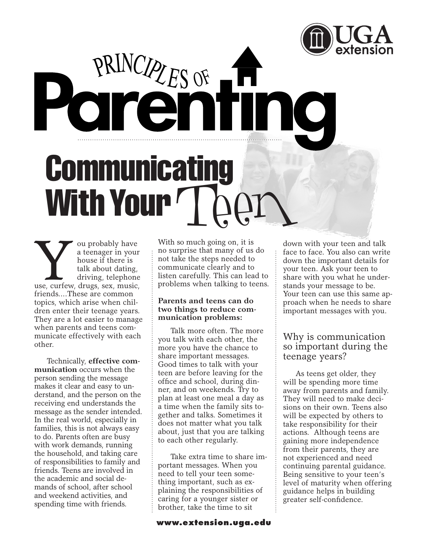

# PRINCIPLES OF **Communicating With Your<sup>!</sup>**

ou probably have<br>
a teenager in your<br>
house if there is<br>
talk about dating,<br>
driving, telephone<br>
use, curfew, drugs, sex, music, a teenager in your house if there is talk about dating, driving, telephone friends....These are common topics, which arise when children enter their teenage years. They are a lot easier to manage when parents and teens communicate effectively with each other.

Technically, **effective communication** occurs when the person sending the message makes it clear and easy to understand, and the person on the receiving end understands the message as the sender intended. In the real world, especially in families, this is not always easy to do. Parents often are busy with work demands, running the household, and taking care of responsibilities to family and friends. Teens are involved in the academic and social demands of school, after school and weekend activities, and spending time with friends.

With so much going on, it is no surprise that many of us do not take the steps needed to communicate clearly and to listen carefully. This can lead to problems when talking to teens.

# **Parents and teens can do two things to reduce communication problems:**

Talk more often. The more you talk with each other, the more you have the chance to share important messages. Good times to talk with your teen are before leaving for the office and school, during dinner, and on weekends. Try to plan at least one meal a day as a time when the family sits together and talks. Sometimes it does not matter what you talk about, just that you are talking to each other regularly.

Take extra time to share important messages. When you need to tell your teen something important, such as explaining the responsibilities of caring for a younger sister or brother, take the time to sit

down with your teen and talk face to face. You also can write down the important details for your teen. Ask your teen to share with you what he understands your message to be. Your teen can use this same approach when he needs to share important messages with you.

# Why is communication so important during the teenage years?

As teens get older, they will be spending more time away from parents and family. They will need to make decisions on their own. Teens also will be expected by others to take responsibility for their actions. Although teens are gaining more independence from their parents, they are not experienced and need continuing parental guidance. Being sensitive to your teen's level of maturity when offering guidance helps in building greater self-confidence.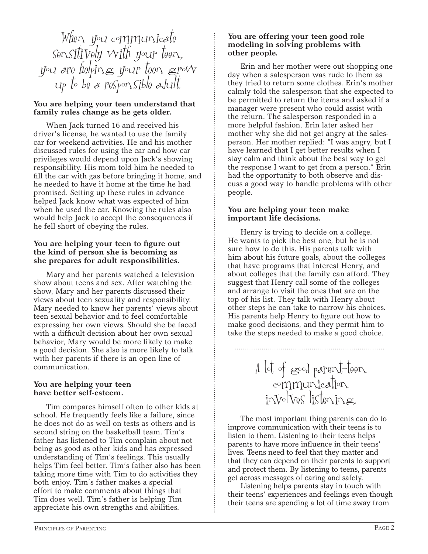# **You are helping your teen understand that family rules change as he gets older.**

When Jack turned 16 and received his driver's license, he wanted to use the family car for weekend activities. He and his mother discussed rules for using the car and how car privileges would depend upon Jack's showing responsibility. His mom told him he needed to fill the car with gas before bringing it home, and he needed to have it home at the time he had promised. Setting up these rules in advance helped Jack know what was expected of him when he used the car. Knowing the rules also would help Jack to accept the consequences if he fell short of obeying the rules.

# **You are helping your teen to figure out the kind of person she is becoming as she prepares for adult responsibilities.**

Mary and her parents watched a television show about teens and sex. After watching the show, Mary and her parents discussed their views about teen sexuality and responsibility. Mary needed to know her parents' views about teen sexual behavior and to feel comfortable expressing her own views. Should she be faced with a difficult decision about her own sexual behavior, Mary would be more likely to make a good decision. She also is more likely to talk with her parents if there is an open line of communication.

### **You are helping your teen have better self-esteem.**

Tim compares himself often to other kids at school. He frequently feels like a failure, since he does not do as well on tests as others and is second string on the basketball team. Tim's father has listened to Tim complain about not being as good as other kids and has expressed understanding of Tim's feelings. This usually helps Tim feel better. Tim's father also has been taking more time with Tim to do activities they both enjoy. Tim's father makes a special effort to make comments about things that Tim does well. Tim's father is helping Tim appreciate his own strengths and abilities.

# **You are offering your teen good role modeling in solving problems with other people.**

Erin and her mother were out shopping one day when a salesperson was rude to them as they tried to return some clothes. Erin's mother calmly told the salesperson that she expected to be permitted to return the items and asked if a manager were present who could assist with the return. The salesperson responded in a more helpful fashion. Erin later asked her mother why she did not get angry at the salesperson. Her mother replied: "I was angry, but I have learned that I get better results when I stay calm and think about the best way to get the response I want to get from a person." Erin had the opportunity to both observe and discuss a good way to handle problems with other people.

# **You are helping your teen make important life decisions.**

Henry is trying to decide on a college. He wants to pick the best one, but he is not sure how to do this. His parents talk with him about his future goals, about the colleges that have programs that interest Henry, and about colleges that the family can afford. They suggest that Henry call some of the colleges and arrange to visit the ones that are on the top of his list. They talk with Henry about other steps he can take to narrow his choices. His parents help Henry to figure out how to make good decisions, and they permit him to take the steps needed to make a good choice.

> A lot of good parent-teen communication involves listening.

The most important thing parents can do to improve communication with their teens is to listen to them. Listening to their teens helps parents to have more influence in their teens' lives. Teens need to feel that they matter and that they can depend on their parents to support and protect them. By listening to teens, parents get across messages of caring and safety.

Listening helps parents stay in touch with their teens' experiences and feelings even though their teens are spending a lot of time away from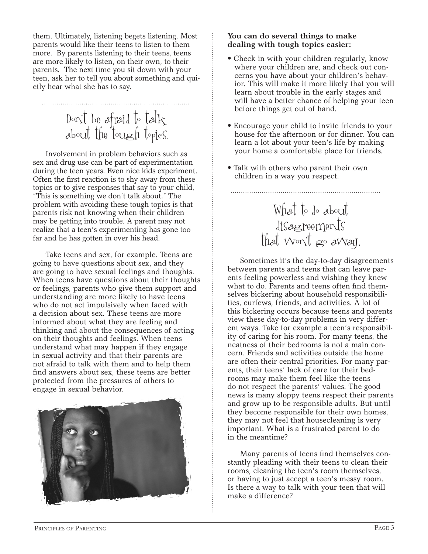them. Ultimately, listening begets listening. Most parents would like their teens to listen to them more. By parents listening to their teens, teens are more likely to listen, on their own, to their parents. The next time you sit down with your teen, ask her to tell you about something and quietly hear what she has to say.

Don't be afraid to talk about the tough topics.

Involvement in problem behaviors such as sex and drug use can be part of experimentation during the teen years. Even nice kids experiment. Often the first reaction is to shy away from these topics or to give responses that say to your child, "This is something we don't talk about." The problem with avoiding these tough topics is that parents risk not knowing when their children may be getting into trouble. A parent may not realize that a teen's experimenting has gone too far and he has gotten in over his head.

Take teens and sex, for example. Teens are going to have questions about sex, and they are going to have sexual feelings and thoughts. When teens have questions about their thoughts or feelings, parents who give them support and understanding are more likely to have teens who do not act impulsively when faced with a decision about sex. These teens are more informed about what they are feeling and thinking and about the consequences of acting on their thoughts and feelings. When teens understand what may happen if they engage in sexual activity and that their parents are not afraid to talk with them and to help them find answers about sex, these teens are better protected from the pressures of others to engage in sexual behavior.



# **You can do several things to make dealing with tough topics easier:**

- Check in with your children regularly, know where your children are, and check out concerns you have about your children's behavior. This will make it more likely that you will learn about trouble in the early stages and will have a better chance of helping your teen before things get out of hand.
- Encourage your child to invite friends to your house for the afternoon or for dinner. You can learn a lot about your teen's life by making your home a comfortable place for friends.
- Talk with others who parent their own children in a way you respect.

# What to do about disagreements that won't go away*.*

Sometimes it's the day-to-day disagreements between parents and teens that can leave parents feeling powerless and wishing they knew what to do. Parents and teens often find themselves bickering about household responsibilities, curfews, friends, and activities. A lot of this bickering occurs because teens and parents view these day-to-day problems in very different ways. Take for example a teen's responsibility of caring for his room. For many teens, the neatness of their bedrooms is not a main concern. Friends and activities outside the home are often their central priorities. For many parents, their teens' lack of care for their bedrooms may make them feel like the teens do not respect the parents' values. The good news is many sloppy teens respect their parents and grow up to be responsible adults. But until they become responsible for their own homes, they may not feel that housecleaning is very important. What is a frustrated parent to do in the meantime?

Many parents of teens find themselves constantly pleading with their teens to clean their rooms, cleaning the teen's room themselves, or having to just accept a teen's messy room. Is there a way to talk with your teen that will make a difference?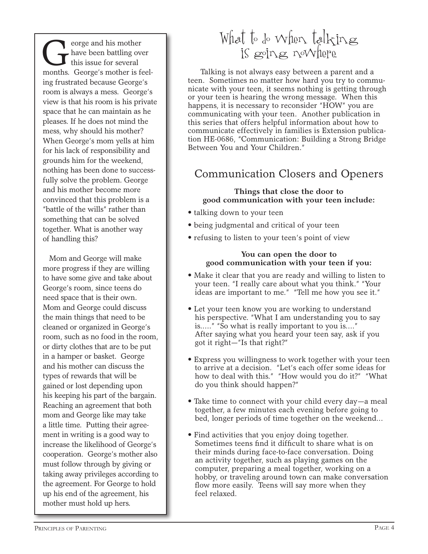eorge and his mother<br>his issue for several<br>months. George's mother is for have been battling over this issue for several months. George's mother is feeling frustrated because George's room is always a mess. George's view is that his room is his private space that he can maintain as he pleases. If he does not mind the mess, why should his mother? When George's mom yells at him for his lack of responsibility and grounds him for the weekend, nothing has been done to successfully solve the problem. George and his mother become more convinced that this problem is a "battle of the wills" rather than something that can be solved together. What is another way of handling this?

 Mom and George will make more progress if they are willing to have some give and take about George's room, since teens do need space that is their own. Mom and George could discuss the main things that need to be cleaned or organized in George's room, such as no food in the room, or dirty clothes that are to be put in a hamper or basket. George and his mother can discuss the types of rewards that will be gained or lost depending upon his keeping his part of the bargain. Reaching an agreement that both mom and George like may take a little time. Putting their agreement in writing is a good way to increase the likelihood of George's cooperation. George's mother also must follow through by giving or taking away privileges according to the agreement. For George to hold up his end of the agreement, his mother must hold up hers.

# What to do when talking<br>is going nowhere.

Talking is not always easy between a parent and a teen. Sometimes no matter how hard you try to communicate with your teen, it seems nothing is getting through or your teen is hearing the wrong message. When this happens, it is necessary to reconsider "HOW" you are communicating with your teen. Another publication in this series that offers helpful information about how to communicate effectively in families is Extension publication HE-0686, "Communication: Building a Strong Bridge Between You and Your Children."

# Communication Closers and Openers

# **Things that close the door to good communication with your teen include:**

- talking down to your teen
- being judgmental and critical of your teen
- refusing to listen to your teen's point of view

# **You can open the door to good communication with your teen if you:**

- Make it clear that you are ready and willing to listen to your teen. "I really care about what you think." "Your ideas are important to me." "Tell me how you see it."
- Let your teen know you are working to understand his perspective. "What I am understanding you to say is....." "So what is really important to you is...." After saying what you heard your teen say, ask if you got it right—"Is that right?"
- Express you willingness to work together with your teen to arrive at a decision. "Let's each offer some ideas for how to deal with this." "How would you do it?" "What do you think should happen?"
- Take time to connect with your child every day—a meal together, a few minutes each evening before going to bed, longer periods of time together on the weekend...
- Find activities that you enjoy doing together. Sometimes teens find it difficult to share what is on their minds during face-to-face conversation. Doing an activity together, such as playing games on the computer, preparing a meal together, working on a hobby, or traveling around town can make conversation flow more easily. Teens will say more when they feel relaxed.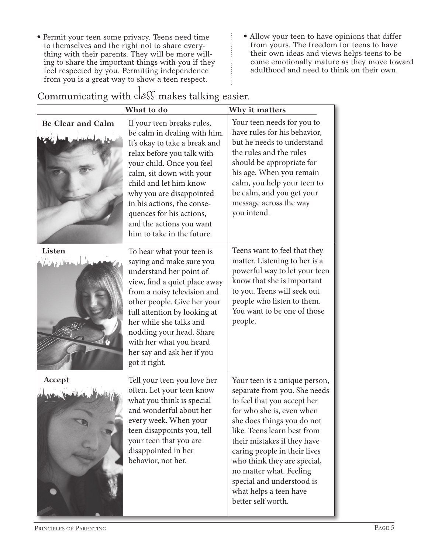- Permit your teen some privacy. Teens need time to themselves and the right not to share everything with their parents. They will be more willing to share the important things with you if they feel respected by you. Permitting independence from you is a great way to show a teen respect.
- Allow your teen to have opinions that differ from yours. The freedom for teens to have their own ideas and views helps teens to be come emotionally mature as they move toward adulthood and need to think on their own.

# Communicating with  $\text{cl-}a\text{SS}$  makes talking easier.

| What to do<br>Why it matters |                                                                                                                                                                                                                                                                                                                                                              |                                                                                                                                                                                                                                                                                                                                                                                              |  |  |
|------------------------------|--------------------------------------------------------------------------------------------------------------------------------------------------------------------------------------------------------------------------------------------------------------------------------------------------------------------------------------------------------------|----------------------------------------------------------------------------------------------------------------------------------------------------------------------------------------------------------------------------------------------------------------------------------------------------------------------------------------------------------------------------------------------|--|--|
| <b>Be Clear and Calm</b>     | If your teen breaks rules,<br>be calm in dealing with him.<br>It's okay to take a break and<br>relax before you talk with<br>your child. Once you feel<br>calm, sit down with your<br>child and let him know<br>why you are disappointed<br>in his actions, the conse-<br>quences for his actions,<br>and the actions you want<br>him to take in the future. | Your teen needs for you to<br>have rules for his behavior,<br>but he needs to understand<br>the rules and the rules<br>should be appropriate for<br>his age. When you remain<br>calm, you help your teen to<br>be calm, and you get your<br>message across the way<br>you intend.                                                                                                            |  |  |
| Listen                       | To hear what your teen is<br>saying and make sure you<br>understand her point of<br>view, find a quiet place away<br>from a noisy television and<br>other people. Give her your<br>full attention by looking at<br>her while she talks and<br>nodding your head. Share<br>with her what you heard<br>her say and ask her if you<br>got it right.             | Teens want to feel that they<br>matter. Listening to her is a<br>powerful way to let your teen<br>know that she is important<br>to you. Teens will seek out<br>people who listen to them.<br>You want to be one of those<br>people.                                                                                                                                                          |  |  |
| Accept                       | Tell your teen you love her<br>often. Let your teen know<br>what you think is special<br>and wonderful about her<br>every week. When your<br>teen disappoints you, tell<br>your teen that you are<br>disappointed in her<br>behavior, not her.                                                                                                               | Your teen is a unique person,<br>separate from you. She needs<br>to feel that you accept her<br>for who she is, even when<br>she does things you do not<br>like. Teens learn best from<br>their mistakes if they have<br>caring people in their lives<br>who think they are special,<br>no matter what. Feeling<br>special and understood is<br>what helps a teen have<br>better self worth. |  |  |

PRINCIPLES OF PARENTING PAGE 5